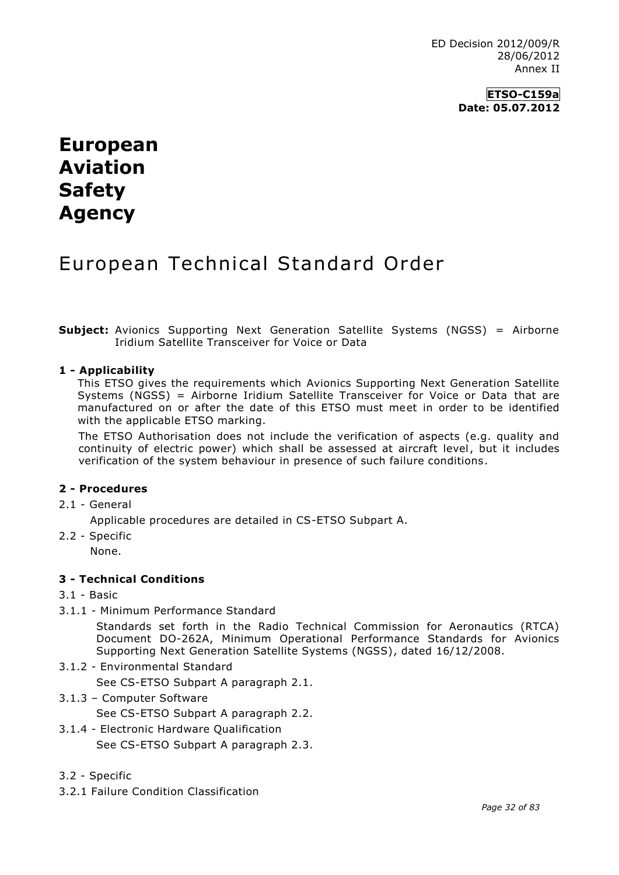**ETSO-C159a Date: 05.07.2012**

# **European Aviation Safety Agency**

## European Technical Standard Order

**Subject:** Avionics Supporting Next Generation Satellite Systems (NGSS) = Airborne Iridium Satellite Transceiver for Voice or Data

#### **1 - Applicability**

This ETSO gives the requirements which Avionics Supporting Next Generation Satellite Systems (NGSS) = Airborne Iridium Satellite Transceiver for Voice or Data that are manufactured on or after the date of this ETSO must meet in order to be identified with the applicable ETSO marking.

The ETSO Authorisation does not include the verification of aspects (e.g. quality and continuity of electric power) which shall be assessed at aircraft level, but it includes verification of the system behaviour in presence of such failure conditions.

#### **2 - Procedures**

2.1 - General

Applicable procedures are detailed in CS-ETSO Subpart A.

2.2 - Specific

None.

#### **3 - Technical Conditions**

- 3.1 Basic
- 3.1.1 Minimum Performance Standard

Standards set forth in the Radio Technical Commission for Aeronautics (RTCA) Document DO-262A, Minimum Operational Performance Standards for Avionics Supporting Next Generation Satellite Systems (NGSS), dated 16/12/2008.

3.1.2 - Environmental Standard

See CS-ETSO Subpart A paragraph 2.1.

3.1.3 – Computer Software

See CS-ETSO Subpart A paragraph 2.2.

- 3.1.4 Electronic Hardware Qualification See CS-ETSO Subpart A paragraph 2.3.
- 3.2 Specific
- 3.2.1 Failure Condition Classification